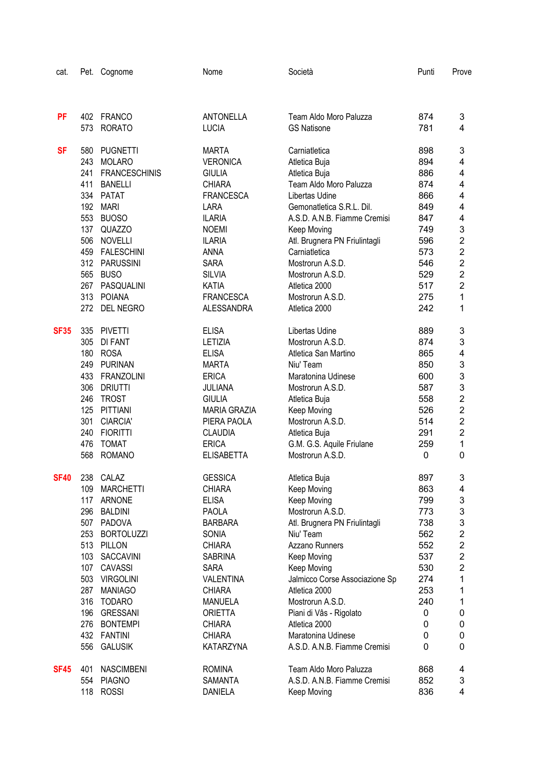| cat.        |            | Pet. Cognome                    | Nome                           | Società                         | Punti      | Prove                   |
|-------------|------------|---------------------------------|--------------------------------|---------------------------------|------------|-------------------------|
|             |            |                                 |                                |                                 |            |                         |
| <b>PF</b>   | 402        | <b>FRANCO</b>                   | <b>ANTONELLA</b>               | Team Aldo Moro Paluzza          | 874        | 3                       |
|             | 573        | <b>RORATO</b>                   | <b>LUCIA</b>                   | <b>GS Natisone</b>              | 781        | 4                       |
| <b>SF</b>   | 580        | <b>PUGNETTI</b>                 | <b>MARTA</b>                   | Carniatletica                   | 898        | 3                       |
|             | 243        | <b>MOLARO</b>                   | <b>VERONICA</b>                | Atletica Buja                   | 894        | 4                       |
|             | 241        | <b>FRANCESCHINIS</b>            | <b>GIULIA</b>                  | Atletica Buja                   | 886        | 4                       |
|             | 411        | <b>BANELLI</b>                  | CHIARA                         | Team Aldo Moro Paluzza          | 874        | 4                       |
|             | 334        | <b>PATAT</b>                    | <b>FRANCESCA</b>               | Libertas Udine                  | 866        | 4                       |
|             | 192        | <b>MARI</b>                     | <b>LARA</b>                    | Gemonatletica S.R.L. Dil.       | 849        | 4                       |
|             | 553        | <b>BUOSO</b>                    | <b>ILARIA</b>                  | A.S.D. A.N.B. Fiamme Cremisi    | 847        | 4                       |
|             | 137        | <b>QUAZZO</b>                   | <b>NOEMI</b>                   | Keep Moving                     | 749        | 3                       |
|             | 506        | <b>NOVELLI</b>                  | <b>ILARIA</b>                  | Atl. Brugnera PN Friulintagli   | 596        | $\overline{\mathbf{c}}$ |
|             | 459        | <b>FALESCHINI</b>               | <b>ANNA</b>                    | Carniatletica                   | 573        | $\overline{2}$          |
|             |            | 312 PARUSSINI                   | <b>SARA</b>                    | Mostrorun A.S.D.                | 546        | $\overline{2}$          |
|             | 565        | <b>BUSO</b>                     | <b>SILVIA</b>                  | Mostrorun A.S.D.                | 529        | $\overline{2}$          |
|             |            | 267 PASQUALINI                  | <b>KATIA</b>                   | Atletica 2000                   | 517        | $\overline{2}$          |
|             | 313        | <b>POIANA</b>                   | <b>FRANCESCA</b>               | Mostrorun A.S.D.                | 275        | 1                       |
|             | 272        | DEL NEGRO                       | <b>ALESSANDRA</b>              | Atletica 2000                   | 242        | 1                       |
| <b>SF35</b> | 335        | <b>PIVETTI</b>                  | <b>ELISA</b>                   | Libertas Udine                  | 889        | 3                       |
|             | 305        | <b>DI FANT</b>                  | LETIZIA                        | Mostrorun A.S.D.                | 874        | 3                       |
|             | 180        | <b>ROSA</b>                     | <b>ELISA</b>                   | Atletica San Martino            | 865        | 4                       |
|             | 249        | <b>PURINAN</b>                  | <b>MARTA</b>                   | Niu' Team                       | 850        | 3                       |
|             | 433        | <b>FRANZOLINI</b>               | <b>ERICA</b>                   | Maratonina Udinese              | 600        | 3                       |
|             | 306        | <b>DRIUTTI</b>                  | <b>JULIANA</b>                 | Mostrorun A.S.D.                | 587        | 3                       |
|             | 246        | <b>TROST</b>                    | <b>GIULIA</b>                  | Atletica Buja                   | 558        | $\overline{\mathbf{c}}$ |
|             | 125        | PITTIANI                        | <b>MARIA GRAZIA</b>            | Keep Moving                     | 526        | $\overline{\mathbf{c}}$ |
|             | 301        | <b>CIARCIA'</b>                 | PIERA PAOLA                    | Mostrorun A.S.D.                | 514        | $\overline{2}$          |
|             | 240        | <b>FIORITTI</b>                 | <b>CLAUDIA</b>                 | Atletica Buja                   | 291        | $\overline{2}$          |
|             | 476        | <b>TOMAT</b>                    | <b>ERICA</b>                   | G.M. G.S. Aquile Friulane       | 259        | 1                       |
|             | 568        | <b>ROMANO</b>                   | <b>ELISABETTA</b>              | Mostrorun A.S.D.                | 0          | 0                       |
| <b>SF40</b> |            | 238 CALAZ                       | <b>GESSICA</b>                 | Atletica Buja                   | 897        | 3                       |
|             | 109        | <b>MARCHETTI</b>                | <b>CHIARA</b>                  | Keep Moving                     | 863        | 4                       |
|             |            | 117 ARNONE                      | <b>ELISA</b>                   | Keep Moving<br>Mostrorun A.S.D. | 799        | 3                       |
|             | 296<br>507 | <b>BALDINI</b><br><b>PADOVA</b> | <b>PAOLA</b><br><b>BARBARA</b> | Atl. Brugnera PN Friulintagli   | 773        | 3<br>3                  |
|             | 253        | <b>BORTOLUZZI</b>               | SONIA                          | Niu' Team                       | 738<br>562 | $\overline{c}$          |
|             | 513        | PILLON                          | <b>CHIARA</b>                  | Azzano Runners                  | 552        | $\overline{\mathbf{c}}$ |
|             | 103        | SACCAVINI                       | <b>SABRINA</b>                 | Keep Moving                     | 537        | $\overline{c}$          |
|             | 107        | CAVASSI                         | <b>SARA</b>                    | Keep Moving                     | 530        | 2                       |
|             | 503        | <b>VIRGOLINI</b>                | VALENTINA                      | Jalmicco Corse Associazione Sp  | 274        | 1                       |
|             | 287        | <b>MANIAGO</b>                  | <b>CHIARA</b>                  | Atletica 2000                   | 253        | 1                       |
|             | 316        | <b>TODARO</b>                   | <b>MANUELA</b>                 | Mostrorun A.S.D.                | 240        | 1                       |
|             | 196        | <b>GRESSANI</b>                 | <b>ORIETTA</b>                 | Piani di Vâs - Rigolato         | 0          | 0                       |
|             | 276        | <b>BONTEMPI</b>                 | <b>CHIARA</b>                  | Atletica 2000                   | 0          | 0                       |
|             |            | 432 FANTINI                     | <b>CHIARA</b>                  | Maratonina Udinese              | 0          | 0                       |
|             | 556        | <b>GALUSIK</b>                  | KATARZYNA                      | A.S.D. A.N.B. Fiamme Cremisi    | 0          | 0                       |
| <b>SF45</b> | 401        | <b>NASCIMBENI</b>               | <b>ROMINA</b>                  | Team Aldo Moro Paluzza          | 868        | 4                       |
|             | 554        | <b>PIAGNO</b>                   | SAMANTA                        | A.S.D. A.N.B. Fiamme Cremisi    | 852        | 3                       |
|             | 118        | <b>ROSSI</b>                    | DANIELA                        | Keep Moving                     | 836        | 4                       |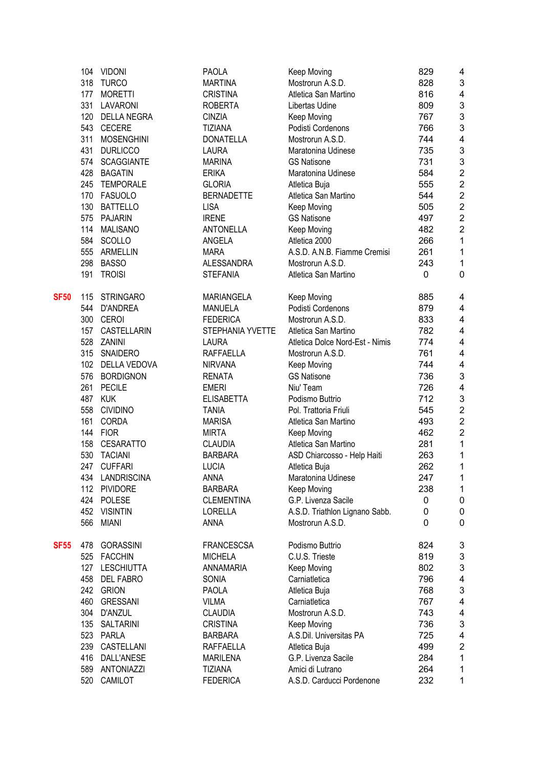|             | 104 | <b>VIDONI</b>       | <b>PAOLA</b>      | Keep Moving                     | 829 | 4                       |
|-------------|-----|---------------------|-------------------|---------------------------------|-----|-------------------------|
|             | 318 | <b>TURCO</b>        | <b>MARTINA</b>    | Mostrorun A.S.D.                | 828 | 3                       |
|             | 177 | <b>MORETTI</b>      | <b>CRISTINA</b>   | Atletica San Martino            | 816 | $\overline{\mathbf{4}}$ |
|             | 331 | LAVARONI            | <b>ROBERTA</b>    | Libertas Udine                  | 809 | 3                       |
|             | 120 | <b>DELLA NEGRA</b>  | <b>CINZIA</b>     | Keep Moving                     | 767 | 3                       |
|             | 543 | <b>CECERE</b>       | <b>TIZIANA</b>    | Podisti Cordenons               | 766 | 3                       |
|             | 311 | <b>MOSENGHINI</b>   | <b>DONATELLA</b>  | Mostrorun A.S.D.                | 744 | 4                       |
|             | 431 | <b>DURLICCO</b>     | <b>LAURA</b>      | Maratonina Udinese              | 735 | 3                       |
|             | 574 | <b>SCAGGIANTE</b>   | <b>MARINA</b>     | <b>GS Natisone</b>              | 731 | 3                       |
|             | 428 | <b>BAGATIN</b>      | <b>ERIKA</b>      | Maratonina Udinese              | 584 | $\overline{2}$          |
|             | 245 | <b>TEMPORALE</b>    | <b>GLORIA</b>     | Atletica Buja                   | 555 | $\overline{c}$          |
|             | 170 | FASUOLO             | <b>BERNADETTE</b> | Atletica San Martino            | 544 | $\overline{2}$          |
|             | 130 | <b>BATTELLO</b>     | <b>LISA</b>       | Keep Moving                     | 505 | $\overline{2}$          |
|             | 575 | <b>PAJARIN</b>      | <b>IRENE</b>      | <b>GS Natisone</b>              | 497 | $\overline{2}$          |
|             | 114 | MALISANO            | <b>ANTONELLA</b>  | Keep Moving                     | 482 | $\overline{2}$          |
|             | 584 | SCOLLO              | ANGELA            | Atletica 2000                   | 266 | 1                       |
|             | 555 | <b>ARMELLIN</b>     | <b>MARA</b>       | A.S.D. A.N.B. Fiamme Cremisi    | 261 | 1                       |
|             | 298 | <b>BASSO</b>        | <b>ALESSANDRA</b> | Mostrorun A.S.D.                | 243 | 1                       |
|             | 191 | <b>TROISI</b>       | <b>STEFANIA</b>   | Atletica San Martino            | 0   | 0                       |
|             |     |                     |                   |                                 |     |                         |
| <b>SF50</b> | 115 | <b>STRINGARO</b>    | <b>MARIANGELA</b> | Keep Moving                     | 885 | 4                       |
|             | 544 | <b>D'ANDREA</b>     | <b>MANUELA</b>    | Podisti Cordenons               | 879 | 4                       |
|             | 300 | CEROI               | <b>FEDERICA</b>   | Mostrorun A.S.D.                | 833 | 4                       |
|             | 157 | CASTELLARIN         | STEPHANIA YVETTE  | Atletica San Martino            | 782 | 4                       |
|             | 528 | ZANINI              | <b>LAURA</b>      | Atletica Dolce Nord-Est - Nimis | 774 | 4                       |
|             | 315 | SNAIDERO            | <b>RAFFAELLA</b>  | Mostrorun A.S.D.                | 761 | 4                       |
|             | 102 | <b>DELLA VEDOVA</b> | <b>NIRVANA</b>    | Keep Moving                     | 744 | 4                       |
|             | 576 | <b>BORDIGNON</b>    | <b>RENATA</b>     | <b>GS Natisone</b>              | 736 | 3                       |
|             | 261 | <b>PECILE</b>       | <b>EMERI</b>      | Niu' Team                       | 726 | 4                       |
|             | 487 | <b>KUK</b>          | <b>ELISABETTA</b> | Podismo Buttrio                 | 712 | 3                       |
|             | 558 | <b>CIVIDINO</b>     | <b>TANIA</b>      | Pol. Trattoria Friuli           | 545 | $\overline{2}$          |
|             | 161 | <b>CORDA</b>        | <b>MARISA</b>     | Atletica San Martino            | 493 | $\overline{2}$          |
|             | 144 | <b>FIOR</b>         | <b>MIRTA</b>      | Keep Moving                     | 462 | $\overline{2}$          |
|             | 158 | CESARATTO           | <b>CLAUDIA</b>    | Atletica San Martino            | 281 | 1                       |
|             | 530 | <b>TACIANI</b>      | <b>BARBARA</b>    | ASD Chiarcosso - Help Haiti     | 263 | 1                       |
|             | 247 | <b>CUFFARI</b>      | <b>LUCIA</b>      | Atletica Buja                   | 262 | 1                       |
|             | 434 | LANDRISCINA         | anna              | Maratonina Udinese              | 247 | 1                       |
|             | 112 | <b>PIVIDORE</b>     | <b>BARBARA</b>    | Keep Moving                     | 238 | 1                       |
|             | 424 | <b>POLESE</b>       | <b>CLEMENTINA</b> | G.P. Livenza Sacile             | 0   | 0                       |
|             | 452 | <b>VISINTIN</b>     | <b>LORELLA</b>    | A.S.D. Triathlon Lignano Sabb.  | 0   | 0                       |
|             | 566 | <b>MIANI</b>        | <b>ANNA</b>       | Mostrorun A.S.D.                | 0   | 0                       |
|             |     |                     |                   |                                 |     |                         |
| <b>SF55</b> | 478 | <b>GORASSINI</b>    | <b>FRANCESCSA</b> | Podismo Buttrio                 | 824 | 3                       |
|             | 525 | <b>FACCHIN</b>      | <b>MICHELA</b>    | C.U.S. Trieste                  | 819 | 3                       |
|             | 127 | <b>LESCHIUTTA</b>   | ANNAMARIA         | Keep Moving                     | 802 | 3                       |
|             | 458 | <b>DEL FABRO</b>    | <b>SONIA</b>      | Carniatletica                   | 796 | 4                       |
|             |     | 242 GRION           | <b>PAOLA</b>      | Atletica Buja                   | 768 | 3                       |
|             | 460 | <b>GRESSANI</b>     | <b>VILMA</b>      | Carniatletica                   | 767 | 4                       |
|             | 304 | D'ANZUL             | <b>CLAUDIA</b>    | Mostrorun A.S.D.                | 743 | 4                       |
|             | 135 | SALTARINI           | <b>CRISTINA</b>   | Keep Moving                     | 736 | 3                       |
|             | 523 | PARLA               | <b>BARBARA</b>    | A.S.Dil. Universitas PA         | 725 | 4                       |
|             | 239 | CASTELLANI          | RAFFAELLA         | Atletica Buja                   | 499 | $\overline{c}$          |
|             | 416 | DALL'ANESE          | <b>MARILENA</b>   | G.P. Livenza Sacile             | 284 | 1                       |
|             | 589 | <b>ANTONIAZZI</b>   | TIZIANA           | Amici di Lutrano                | 264 | 1                       |
|             | 520 | CAMILOT             | <b>FEDERICA</b>   | A.S.D. Carducci Pordenone       | 232 | 1                       |
|             |     |                     |                   |                                 |     |                         |